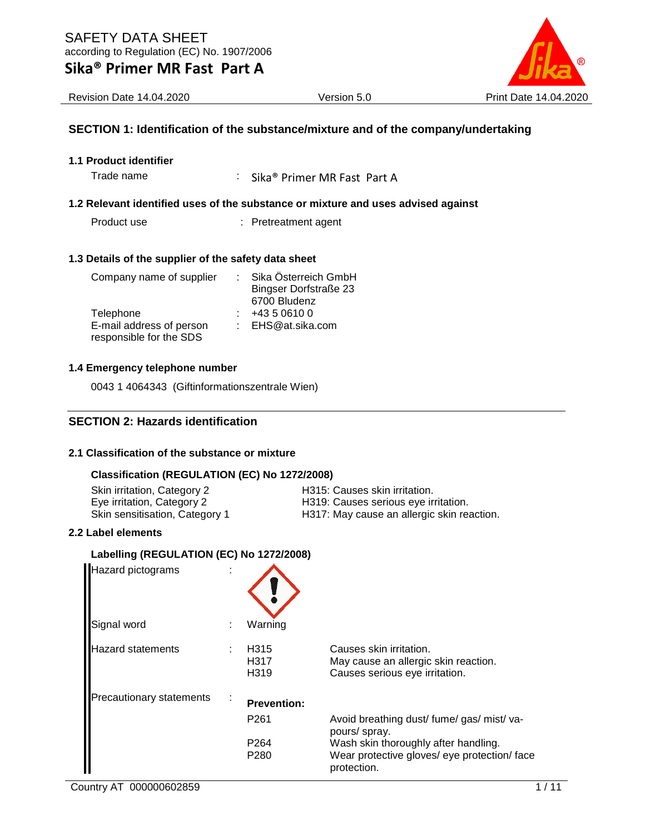

Revision Date 14.04.2020 Version 5.0 Print Date 14.04.2020

### **SECTION 1: Identification of the substance/mixture and of the company/undertaking**

**1.1 Product identifier**

Trade name : Sika® Primer MR Fast Part A

### **1.2 Relevant identified uses of the substance or mixture and uses advised against**

Product use : Pretreatment agent

#### **1.3 Details of the supplier of the safety data sheet**

| Company name of supplier | Sika Österreich GmbH         |
|--------------------------|------------------------------|
|                          | <b>Bingser Dorfstraße 23</b> |
|                          | 6700 Bludenz                 |
| Telephone                | +43 5 0610 0                 |
| E-mail address of person | : EHS@at.sika.com            |
| responsible for the SDS  |                              |

#### **1.4 Emergency telephone number**

0043 1 4064343 (Giftinformationszentrale Wien)

### **SECTION 2: Hazards identification**

### **2.1 Classification of the substance or mixture**

### **Classification (REGULATION (EC) No 1272/2008)**

| Skin irritation, Category 2    | H315: Causes skin irritation.              |
|--------------------------------|--------------------------------------------|
| Eye irritation, Category 2     | H319: Causes serious eye irritation.       |
| Skin sensitisation, Category 1 | H317: May cause an allergic skin reaction. |

#### **2.2 Label elements**

### **Labelling (REGULATION (EC) No 1272/2008)**

| Hazard pictograms               |                                  |                                                                                                     |
|---------------------------------|----------------------------------|-----------------------------------------------------------------------------------------------------|
| Signal word                     | Warning                          |                                                                                                     |
| <b>Hazard statements</b>        | H <sub>315</sub><br>H317<br>H319 | Causes skin irritation.<br>May cause an allergic skin reaction.<br>Causes serious eye irritation.   |
| <b>Precautionary statements</b> | <b>Prevention:</b>               |                                                                                                     |
|                                 | P <sub>261</sub>                 | Avoid breathing dust/ fume/ gas/ mist/ va-<br>pours/ spray.                                         |
|                                 | P <sub>264</sub><br>P280         | Wash skin thoroughly after handling.<br>Wear protective gloves/ eye protection/ face<br>protection. |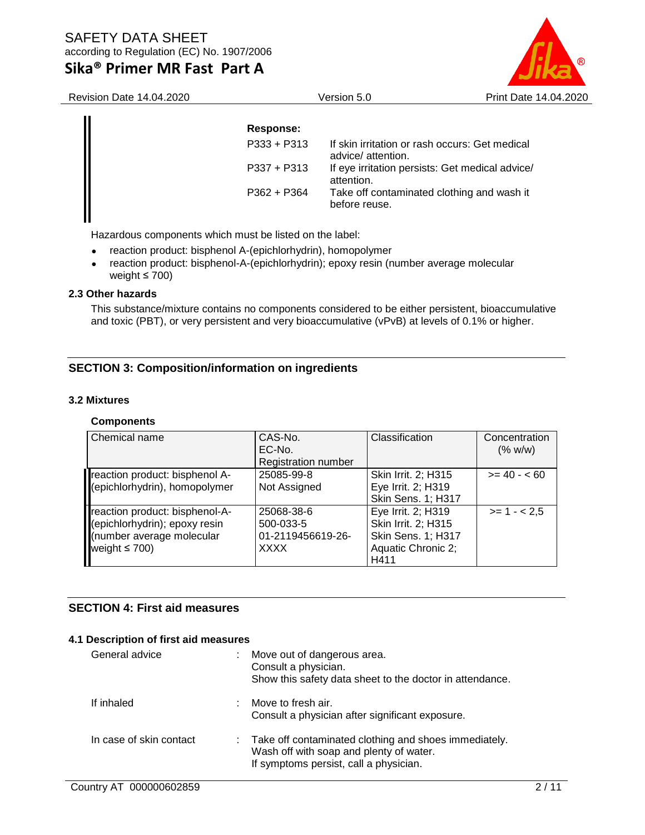

| <b>Revision Date 14.04.2020</b> |               | Version 5.0                                                          | Print Date 14.04.2020 |  |
|---------------------------------|---------------|----------------------------------------------------------------------|-----------------------|--|
|                                 | Response:     |                                                                      |                       |  |
|                                 | $P333 + P313$ | If skin irritation or rash occurs: Get medical<br>advice/ attention. |                       |  |
|                                 | $P337 + P313$ | If eye irritation persists: Get medical advice/<br>attention.        |                       |  |
|                                 | $P362 + P364$ | Take off contaminated clothing and wash it<br>before reuse.          |                       |  |
|                                 |               |                                                                      |                       |  |

Hazardous components which must be listed on the label:

- reaction product: bisphenol A-(epichlorhydrin), homopolymer
- reaction product: bisphenol-A-(epichlorhydrin); epoxy resin (number average molecular weight  $\leq 700$ )

### **2.3 Other hazards**

This substance/mixture contains no components considered to be either persistent, bioaccumulative and toxic (PBT), or very persistent and very bioaccumulative (vPvB) at levels of 0.1% or higher.

## **SECTION 3: Composition/information on ingredients**

### **3.2 Mixtures**

### **Components**

| Chemical name                  | CAS-No.                    | Classification            | Concentration |
|--------------------------------|----------------------------|---------------------------|---------------|
|                                | EC-No.                     |                           | (% w/w)       |
|                                | <b>Registration number</b> |                           |               |
| reaction product: bisphenol A- | 25085-99-8                 | Skin Irrit. 2; H315       | $>= 40 - 60$  |
| (epichlorhydrin), homopolymer  | Not Assigned               | Eye Irrit. 2; H319        |               |
|                                |                            | <b>Skin Sens. 1; H317</b> |               |
| reaction product: bisphenol-A- | 25068-38-6                 | Eye Irrit. 2; H319        | $>= 1 - 2.5$  |
| (epichlorhydrin); epoxy resin  | 500-033-5                  | Skin Irrit. 2; H315       |               |
| (number average molecular      | 01-2119456619-26-          | <b>Skin Sens. 1; H317</b> |               |
| weight $\leq 700$ )            | <b>XXXX</b>                | Aquatic Chronic 2;        |               |
|                                |                            | H411                      |               |

### **SECTION 4: First aid measures**

### **4.1 Description of first aid measures**

| General advice          | Move out of dangerous area.<br>Consult a physician.<br>Show this safety data sheet to the doctor in attendance.                              |
|-------------------------|----------------------------------------------------------------------------------------------------------------------------------------------|
| If inhaled              | Move to fresh air.<br>Consult a physician after significant exposure.                                                                        |
| In case of skin contact | : Take off contaminated clothing and shoes immediately.<br>Wash off with soap and plenty of water.<br>If symptoms persist, call a physician. |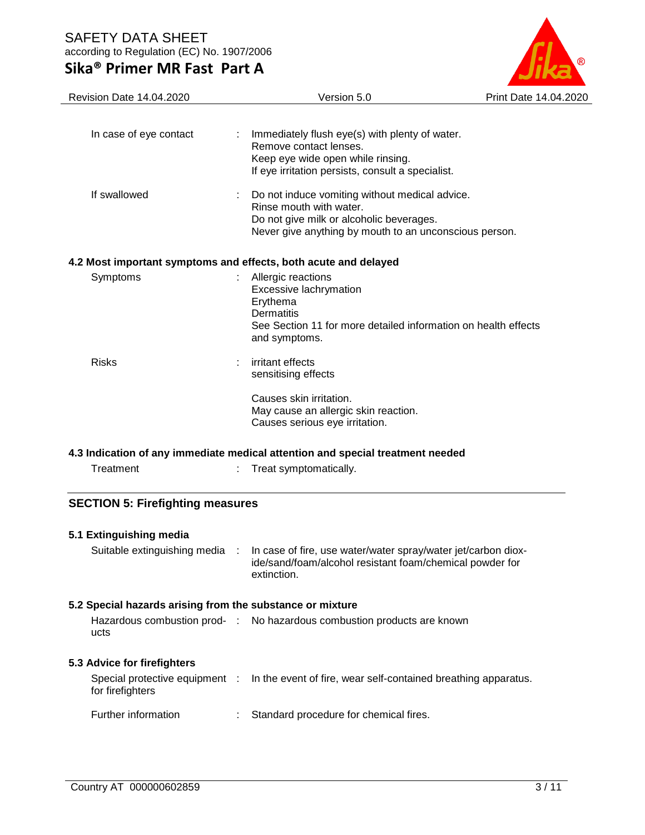

| <b>Revision Date 14.04.2020</b>                                                | Version 5.0                                                                                                                                                                     | Print Date 14.04.2020 |  |  |  |  |
|--------------------------------------------------------------------------------|---------------------------------------------------------------------------------------------------------------------------------------------------------------------------------|-----------------------|--|--|--|--|
| In case of eye contact                                                         | Immediately flush eye(s) with plenty of water.<br>Remove contact lenses.<br>Keep eye wide open while rinsing.<br>If eye irritation persists, consult a specialist.              |                       |  |  |  |  |
| If swallowed                                                                   | Do not induce vomiting without medical advice.<br>Rinse mouth with water.<br>Do not give milk or alcoholic beverages.<br>Never give anything by mouth to an unconscious person. |                       |  |  |  |  |
|                                                                                | 4.2 Most important symptoms and effects, both acute and delayed                                                                                                                 |                       |  |  |  |  |
| Symptoms                                                                       | Allergic reactions<br>Excessive lachrymation<br>Erythema<br>Dermatitis<br>See Section 11 for more detailed information on health effects<br>and symptoms.                       |                       |  |  |  |  |
| <b>Risks</b>                                                                   | irritant effects<br>sensitising effects                                                                                                                                         |                       |  |  |  |  |
|                                                                                | Causes skin irritation.<br>May cause an allergic skin reaction.<br>Causes serious eye irritation.                                                                               |                       |  |  |  |  |
| 4.3 Indication of any immediate medical attention and special treatment needed |                                                                                                                                                                                 |                       |  |  |  |  |
| Treatment                                                                      | Treat symptomatically.                                                                                                                                                          |                       |  |  |  |  |

# **SECTION 5: Firefighting measures**

| 5.1 Extinguishing media<br>Suitable extinguishing media : |    | In case of fire, use water/water spray/water jet/carbon diox-<br>ide/sand/foam/alcohol resistant foam/chemical powder for<br>extinction. |
|-----------------------------------------------------------|----|------------------------------------------------------------------------------------------------------------------------------------------|
| 5.2 Special hazards arising from the substance or mixture |    |                                                                                                                                          |
| ucts                                                      |    | Hazardous combustion prod- : No hazardous combustion products are known                                                                  |
| 5.3 Advice for firefighters                               |    |                                                                                                                                          |
| for firefighters                                          |    | Special protective equipment : In the event of fire, wear self-contained breathing apparatus.                                            |
| Further information                                       | ÷. | Standard procedure for chemical fires.                                                                                                   |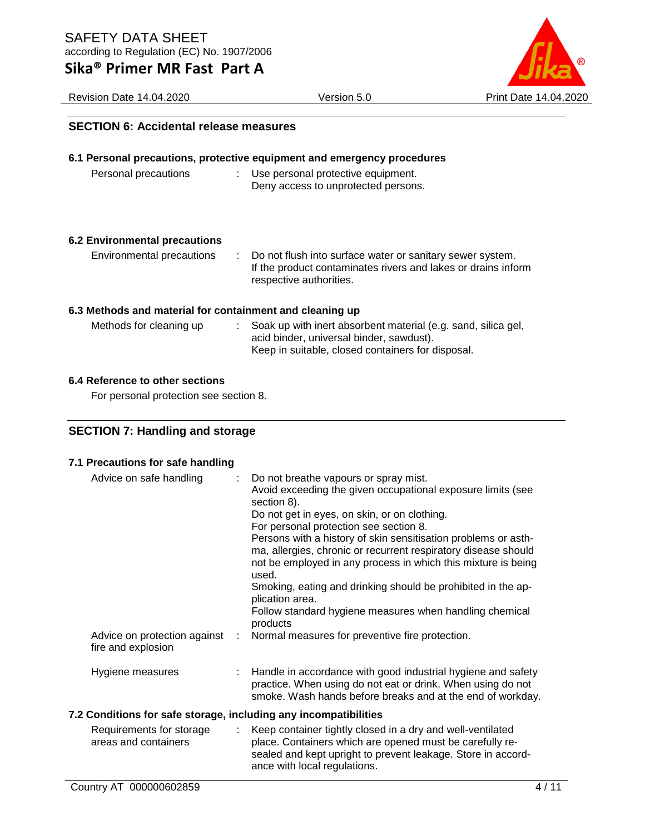Revision Date 14.04.2020 Version 5.0 Print Date 14.04.2020



### **SECTION 6: Accidental release measures**

# **6.1 Personal precautions, protective equipment and emergency procedures**

Personal precautions : Use personal protective equipment. Deny access to unprotected persons.

### **6.2 Environmental precautions**

Environmental precautions : Do not flush into surface water or sanitary sewer system. If the product contaminates rivers and lakes or drains inform respective authorities.

### **6.3 Methods and material for containment and cleaning up**

| Methods for cleaning up | : Soak up with inert absorbent material (e.g. sand, silica gel, |
|-------------------------|-----------------------------------------------------------------|
|                         | acid binder, universal binder, sawdust).                        |
|                         | Keep in suitable, closed containers for disposal.               |

### **6.4 Reference to other sections**

For personal protection see section 8.

## **SECTION 7: Handling and storage**

#### **7.1 Precautions for safe handling**

| Advice on safe handling                                          |    | Do not breathe vapours or spray mist.<br>Avoid exceeding the given occupational exposure limits (see<br>section 8).                                                                                                                                                                                  |
|------------------------------------------------------------------|----|------------------------------------------------------------------------------------------------------------------------------------------------------------------------------------------------------------------------------------------------------------------------------------------------------|
|                                                                  |    | Do not get in eyes, on skin, or on clothing.<br>For personal protection see section 8.<br>Persons with a history of skin sensitisation problems or asth-<br>ma, allergies, chronic or recurrent respiratory disease should<br>not be employed in any process in which this mixture is being<br>used. |
|                                                                  |    | Smoking, eating and drinking should be prohibited in the ap-<br>plication area.                                                                                                                                                                                                                      |
|                                                                  |    | Follow standard hygiene measures when handling chemical<br>products                                                                                                                                                                                                                                  |
| Advice on protection against<br>fire and explosion               | ÷. | Normal measures for preventive fire protection.                                                                                                                                                                                                                                                      |
| Hygiene measures                                                 |    | Handle in accordance with good industrial hygiene and safety<br>practice. When using do not eat or drink. When using do not<br>smoke. Wash hands before breaks and at the end of workday.                                                                                                            |
| 7.2 Conditions for safe storage, including any incompatibilities |    |                                                                                                                                                                                                                                                                                                      |
| Requirements for storage<br>areas and containers                 | ÷. | Keep container tightly closed in a dry and well-ventilated<br>place. Containers which are opened must be carefully re-<br>sealed and kept upright to prevent leakage. Store in accord-                                                                                                               |

ance with local regulations.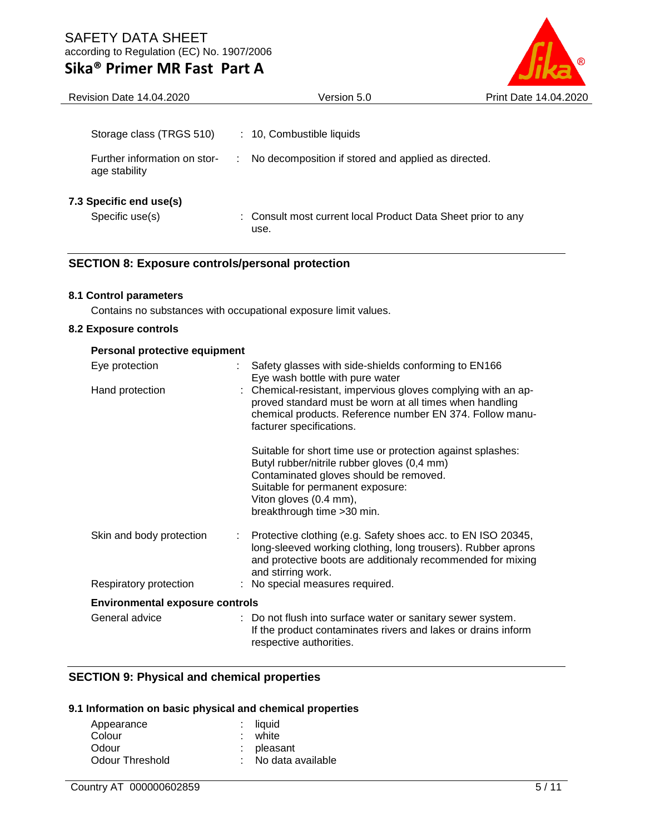

| Version 5.0                                                          | Print Date 14.04.2020 |
|----------------------------------------------------------------------|-----------------------|
|                                                                      |                       |
| : 10, Combustible liquids                                            |                       |
| No decomposition if stored and applied as directed.                  |                       |
|                                                                      |                       |
| : Consult most current local Product Data Sheet prior to any<br>use. |                       |
|                                                                      |                       |

# **SECTION 8: Exposure controls/personal protection**

### **8.1 Control parameters**

Contains no substances with occupational exposure limit values.

### **8.2 Exposure controls**

| Personal protective equipment          |                                                                                                                                                                                                                                                   |
|----------------------------------------|---------------------------------------------------------------------------------------------------------------------------------------------------------------------------------------------------------------------------------------------------|
| Eye protection                         | Safety glasses with side-shields conforming to EN166<br>Eye wash bottle with pure water                                                                                                                                                           |
| Hand protection                        | : Chemical-resistant, impervious gloves complying with an ap-<br>proved standard must be worn at all times when handling<br>chemical products. Reference number EN 374. Follow manu-<br>facturer specifications.                                  |
|                                        | Suitable for short time use or protection against splashes:<br>Butyl rubber/nitrile rubber gloves (0,4 mm)<br>Contaminated gloves should be removed.<br>Suitable for permanent exposure:<br>Viton gloves (0.4 mm),<br>breakthrough time > 30 min. |
| Skin and body protection<br>÷          | Protective clothing (e.g. Safety shoes acc. to EN ISO 20345,<br>long-sleeved working clothing, long trousers). Rubber aprons<br>and protective boots are additionaly recommended for mixing<br>and stirring work.                                 |
| Respiratory protection                 | : No special measures required.                                                                                                                                                                                                                   |
| <b>Environmental exposure controls</b> |                                                                                                                                                                                                                                                   |
| General advice                         | : Do not flush into surface water or sanitary sewer system.<br>If the product contaminates rivers and lakes or drains inform<br>respective authorities.                                                                                           |

### **SECTION 9: Physical and chemical properties**

## **9.1 Information on basic physical and chemical properties**

| Appearance      | $:$ liquid          |
|-----------------|---------------------|
| Colour          | : white             |
| Odour           | $:$ pleasant        |
| Odour Threshold | : No data available |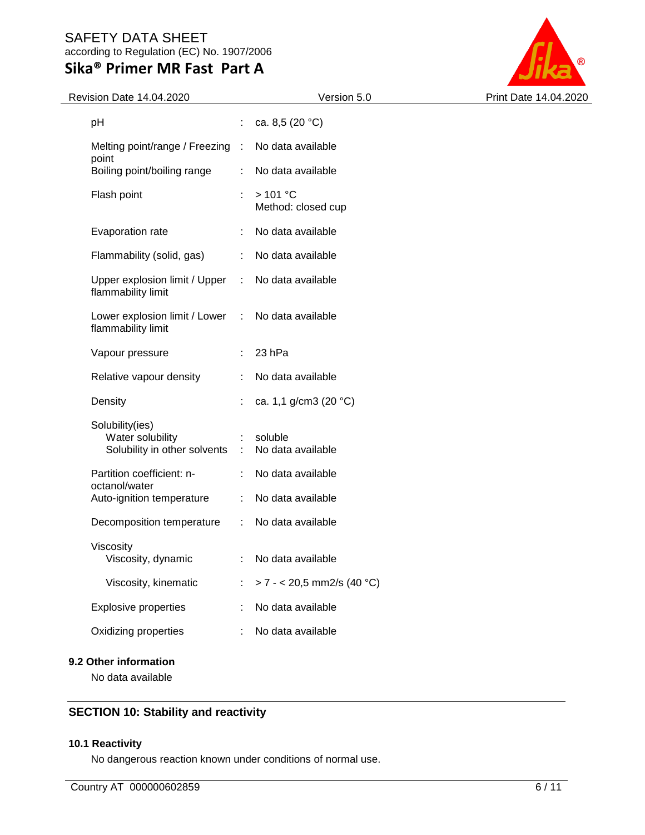# SAFETY DATA SHEET according to Regulation (EC) No. 1907/2006

# **Sika® Primer MR Fast Part A**



| Revision Date 14.04.2020                                            |               | Version 5.0                   | Print Date 14.04.2020 |
|---------------------------------------------------------------------|---------------|-------------------------------|-----------------------|
| pH                                                                  | ÷.            | ca. 8,5 $(20 °C)$             |                       |
| Melting point/range / Freezing :                                    |               | No data available             |                       |
| point<br>Boiling point/boiling range                                |               | No data available             |                       |
| Flash point                                                         | ÷.            | >101 °C<br>Method: closed cup |                       |
| Evaporation rate                                                    |               | No data available             |                       |
| Flammability (solid, gas)                                           | ÷             | No data available             |                       |
| Upper explosion limit / Upper<br>flammability limit                 | $\mathcal{L}$ | No data available             |                       |
| Lower explosion limit / Lower<br>flammability limit                 | $\sim$ 10     | No data available             |                       |
| Vapour pressure                                                     | ÷             | 23 hPa                        |                       |
| Relative vapour density                                             |               | No data available             |                       |
| Density                                                             |               | ca. 1,1 g/cm3 (20 °C)         |                       |
| Solubility(ies)<br>Water solubility<br>Solubility in other solvents | $\sim 10^7$   | soluble<br>No data available  |                       |
| Partition coefficient: n-                                           |               | No data available             |                       |
| octanol/water<br>Auto-ignition temperature                          | ÷             | No data available             |                       |
| Decomposition temperature                                           | $\mathcal{L}$ | No data available             |                       |
| Viscosity<br>Viscosity, dynamic                                     |               | No data available             |                       |
| Viscosity, kinematic                                                | ÷             | $> 7 - 20,5$ mm2/s (40 °C)    |                       |
| Explosive properties                                                |               | No data available             |                       |
| Oxidizing properties                                                |               | No data available             |                       |
|                                                                     |               |                               |                       |

# **9.2 Other information**

No data available

# **SECTION 10: Stability and reactivity**

# **10.1 Reactivity**

No dangerous reaction known under conditions of normal use.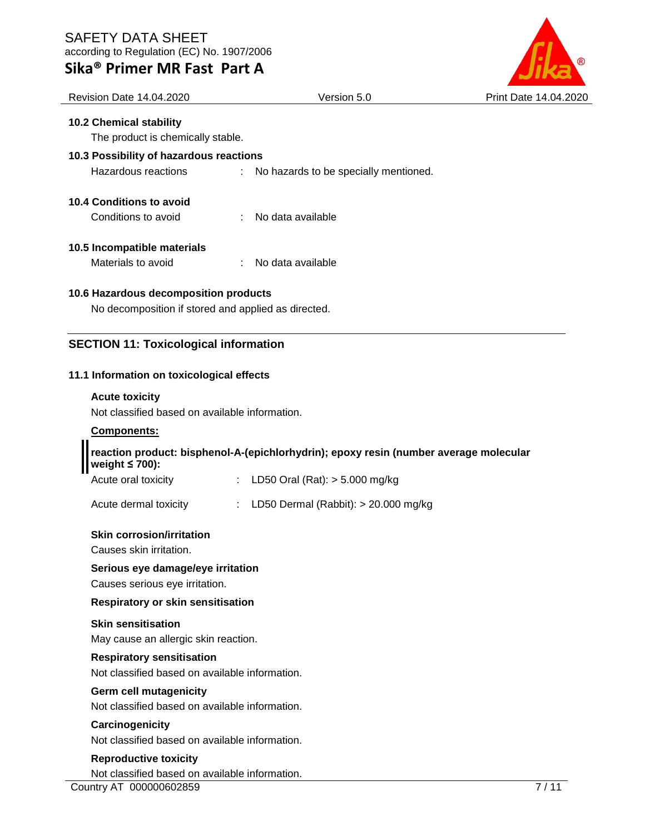## SAFETY DATA SHEET according to Regulation (EC) No. 1907/2006

**Sika® Primer MR Fast Part A**



| <b>Revision Date 14.04.2020</b>                     |                              | Version 5.0                           | <b>Print Date 14.04.20</b> |
|-----------------------------------------------------|------------------------------|---------------------------------------|----------------------------|
| <b>10.2 Chemical stability</b>                      |                              |                                       |                            |
| The product is chemically stable.                   |                              |                                       |                            |
| 10.3 Possibility of hazardous reactions             |                              |                                       |                            |
| Hazardous reactions                                 | $\mathcal{L}_{\mathrm{max}}$ | No hazards to be specially mentioned. |                            |
| 10.4 Conditions to avoid                            |                              |                                       |                            |
| Conditions to avoid                                 |                              | No data available                     |                            |
| 10.5 Incompatible materials                         |                              |                                       |                            |
| Materials to avoid                                  | t.                           | No data available                     |                            |
| 10.6 Hazardous decomposition products               |                              |                                       |                            |
| No decomposition if stored and applied as directed. |                              |                                       |                            |
|                                                     |                              |                                       |                            |
| <b>SECTION 11: Toxicological information</b>        |                              |                                       |                            |
|                                                     |                              |                                       |                            |

# **11.1 Information on toxicological effects**

# **Acute toxicity**

Not classified based on available information.

# **Components:**

## **reaction product: bisphenol-A-(epichlorhydrin); epoxy resin (number average molecular weight ≤ 700):**

Acute oral toxicity : LD50 Oral (Rat): > 5.000 mg/kg

Acute dermal toxicity : LD50 Dermal (Rabbit): > 20.000 mg/kg

# **Skin corrosion/irritation**

Causes skin irritation.

# **Serious eye damage/eye irritation**

Causes serious eye irritation.

# **Respiratory or skin sensitisation**

## **Skin sensitisation**

May cause an allergic skin reaction.

# **Respiratory sensitisation**

Not classified based on available information.

# **Germ cell mutagenicity**

Not classified based on available information.

# **Carcinogenicity**

Not classified based on available information.

## **Reproductive toxicity**

Not classified based on available information.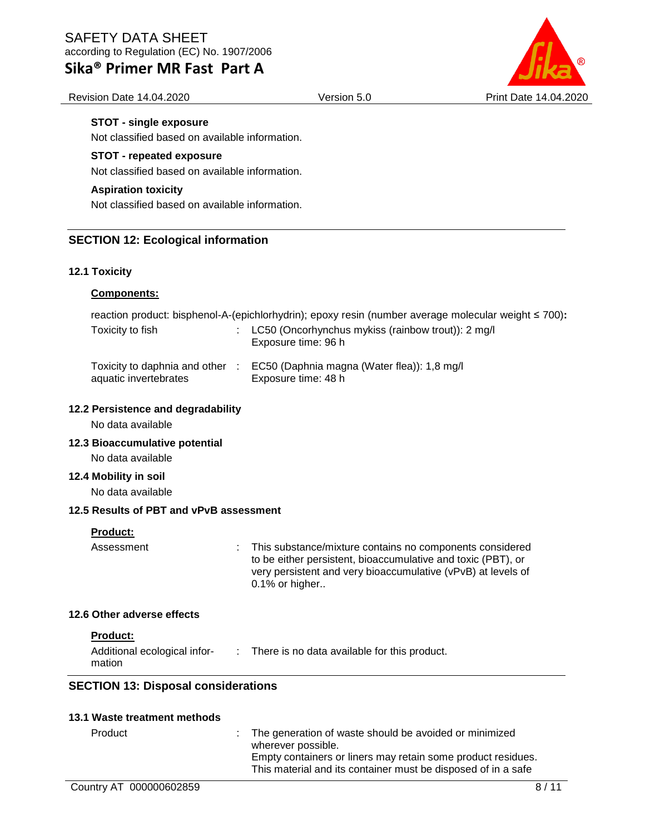Revision Date 14.04.2020 Version 5.0 Print Date 14.04.2020

### **STOT - single exposure**

Not classified based on available information.

### **STOT - repeated exposure**

Not classified based on available information.

### **Aspiration toxicity**

Not classified based on available information.

### **SECTION 12: Ecological information**

### **12.1 Toxicity**

### **Components:**

reaction product: bisphenol-A-(epichlorhydrin); epoxy resin (number average molecular weight ≤ 700)**:**

| Toxicity to fish                                         | : $LC50$ (Oncorhynchus mykiss (rainbow trout)): 2 mg/l<br>Exposure time: 96 h |
|----------------------------------------------------------|-------------------------------------------------------------------------------|
| Toxicity to daphnia and other :<br>aquatic invertebrates | EC50 (Daphnia magna (Water flea)): 1,8 mg/l<br>Exposure time: 48 h            |

### **12.2 Persistence and degradability**

No data available

### **12.3 Bioaccumulative potential**

No data available

#### **12.4 Mobility in soil**

No data available

### **12.5 Results of PBT and vPvB assessment**

#### **Product:**

Assessment : This substance/mixture contains no components considered to be either persistent, bioaccumulative and toxic (PBT), or very persistent and very bioaccumulative (vPvB) at levels of 0.1% or higher..

#### **12.6 Other adverse effects**

#### **Product:**

| Additional ecological infor- | There is no data available for this product. |
|------------------------------|----------------------------------------------|
| mation                       |                                              |

### **SECTION 13: Disposal considerations**

### **13.1 Waste treatment methods**

| Product | : The generation of waste should be avoided or minimized      |
|---------|---------------------------------------------------------------|
|         | wherever possible.                                            |
|         | Empty containers or liners may retain some product residues.  |
|         | This material and its container must be disposed of in a safe |
|         |                                                               |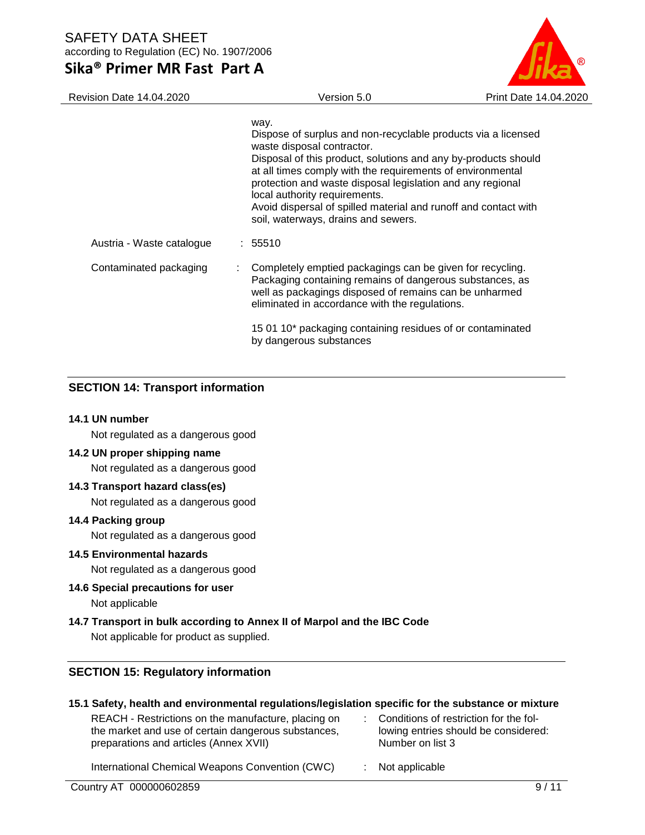| Revision Date 14.04.2020  | Version 5.0                                                                                                                                                                                                                                                                                                                                                                                                                                  | Print Date 14.04.2020 |
|---------------------------|----------------------------------------------------------------------------------------------------------------------------------------------------------------------------------------------------------------------------------------------------------------------------------------------------------------------------------------------------------------------------------------------------------------------------------------------|-----------------------|
|                           | way.<br>Dispose of surplus and non-recyclable products via a licensed<br>waste disposal contractor.<br>Disposal of this product, solutions and any by-products should<br>at all times comply with the requirements of environmental<br>protection and waste disposal legislation and any regional<br>local authority requirements.<br>Avoid dispersal of spilled material and runoff and contact with<br>soil, waterways, drains and sewers. |                       |
| Austria - Waste catalogue | : 55510                                                                                                                                                                                                                                                                                                                                                                                                                                      |                       |
| Contaminated packaging    | Completely emptied packagings can be given for recycling.<br>Packaging containing remains of dangerous substances, as<br>well as packagings disposed of remains can be unharmed<br>eliminated in accordance with the regulations.                                                                                                                                                                                                            |                       |
|                           | 15 01 10* packaging containing residues of or contaminated<br>by dangerous substances                                                                                                                                                                                                                                                                                                                                                        |                       |

# **SECTION 14: Transport information**

### **14.1 UN number**

Not regulated as a dangerous good

### **14.2 UN proper shipping name**

Not regulated as a dangerous good

### **14.3 Transport hazard class(es)**

Not regulated as a dangerous good

### **14.4 Packing group**

Not regulated as a dangerous good

### **14.5 Environmental hazards**

Not regulated as a dangerous good

### **14.6 Special precautions for user**

Not applicable

## **14.7 Transport in bulk according to Annex II of Marpol and the IBC Code**

Not applicable for product as supplied.

## **SECTION 15: Regulatory information**

### **15.1 Safety, health and environmental regulations/legislation specific for the substance or mixture**

| REACH - Restrictions on the manufacture, placing on<br>the market and use of certain dangerous substances,<br>preparations and articles (Annex XVII) | : Conditions of restriction for the fol-<br>lowing entries should be considered:<br>Number on list 3 |
|------------------------------------------------------------------------------------------------------------------------------------------------------|------------------------------------------------------------------------------------------------------|
| International Chemical Weapons Convention (CWC)                                                                                                      | Not applicable                                                                                       |

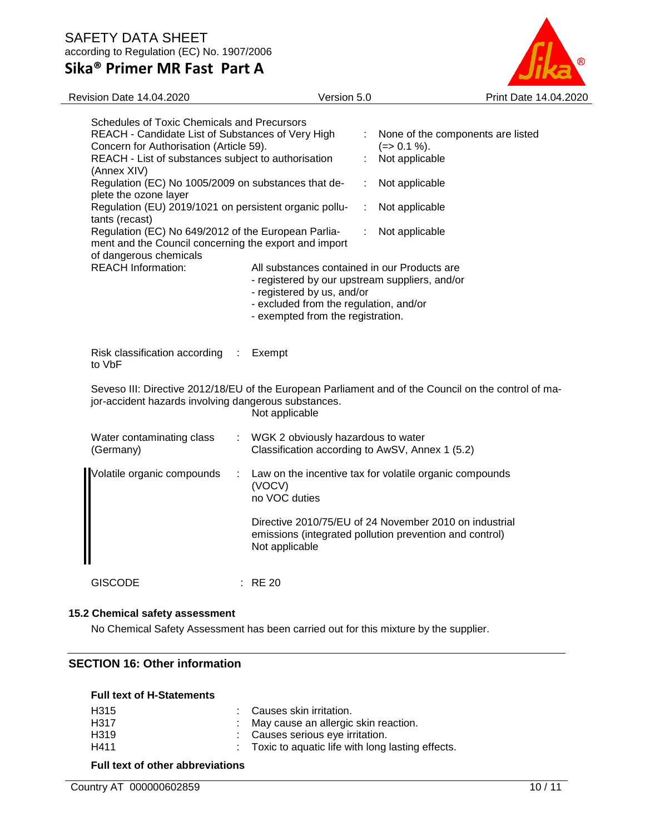

| Schedules of Toxic Chemicals and Precursors<br>REACH - Candidate List of Substances of Very High<br>Concern for Authorisation (Article 59).<br>REACH - List of substances subject to authorisation<br>(Annex XIV) |                                                                                                                                        |   |                                                                                                                                                                                                             | None of the components are listed<br>$(=>0.1\%)$ .<br>Not applicable |                                                                                                                   |
|-------------------------------------------------------------------------------------------------------------------------------------------------------------------------------------------------------------------|----------------------------------------------------------------------------------------------------------------------------------------|---|-------------------------------------------------------------------------------------------------------------------------------------------------------------------------------------------------------------|----------------------------------------------------------------------|-------------------------------------------------------------------------------------------------------------------|
|                                                                                                                                                                                                                   | Regulation (EC) No 1005/2009 on substances that de-<br>plete the ozone layer                                                           |   |                                                                                                                                                                                                             | ÷                                                                    | Not applicable                                                                                                    |
|                                                                                                                                                                                                                   | Regulation (EU) 2019/1021 on persistent organic pollu-<br>tants (recast)                                                               |   |                                                                                                                                                                                                             | ÷                                                                    | Not applicable                                                                                                    |
|                                                                                                                                                                                                                   | Regulation (EC) No 649/2012 of the European Parlia-<br>ment and the Council concerning the export and import<br>of dangerous chemicals |   |                                                                                                                                                                                                             |                                                                      | Not applicable                                                                                                    |
|                                                                                                                                                                                                                   | <b>REACH Information:</b>                                                                                                              |   | All substances contained in our Products are<br>- registered by our upstream suppliers, and/or<br>- registered by us, and/or<br>- excluded from the regulation, and/or<br>- exempted from the registration. |                                                                      |                                                                                                                   |
|                                                                                                                                                                                                                   | Risk classification according<br>to VbF                                                                                                | ÷ | Exempt                                                                                                                                                                                                      |                                                                      |                                                                                                                   |
|                                                                                                                                                                                                                   | jor-accident hazards involving dangerous substances.                                                                                   |   | Not applicable                                                                                                                                                                                              |                                                                      | Seveso III: Directive 2012/18/EU of the European Parliament and of the Council on the control of ma-              |
|                                                                                                                                                                                                                   | Water contaminating class<br>(Germany)                                                                                                 |   | WGK 2 obviously hazardous to water<br>Classification according to AwSV, Annex 1 (5.2)                                                                                                                       |                                                                      |                                                                                                                   |
|                                                                                                                                                                                                                   | Volatile organic compounds                                                                                                             | ÷ | (VOCV)<br>no VOC duties                                                                                                                                                                                     |                                                                      | Law on the incentive tax for volatile organic compounds                                                           |
|                                                                                                                                                                                                                   |                                                                                                                                        |   | Not applicable                                                                                                                                                                                              |                                                                      | Directive 2010/75/EU of 24 November 2010 on industrial<br>emissions (integrated pollution prevention and control) |
|                                                                                                                                                                                                                   | <b>GISCODE</b>                                                                                                                         |   | <b>RE 20</b>                                                                                                                                                                                                |                                                                      |                                                                                                                   |

### **15.2 Chemical safety assessment**

No Chemical Safety Assessment has been carried out for this mixture by the supplier.

# **SECTION 16: Other information**

| <b>Full text of H-Statements</b> |                                                    |
|----------------------------------|----------------------------------------------------|
| H <sub>315</sub>                 | : Causes skin irritation.                          |
| H317                             | : May cause an allergic skin reaction.             |
| H <sub>319</sub>                 | : Causes serious eye irritation.                   |
| H411                             | : Toxic to aquatic life with long lasting effects. |

### **Full text of other abbreviations**